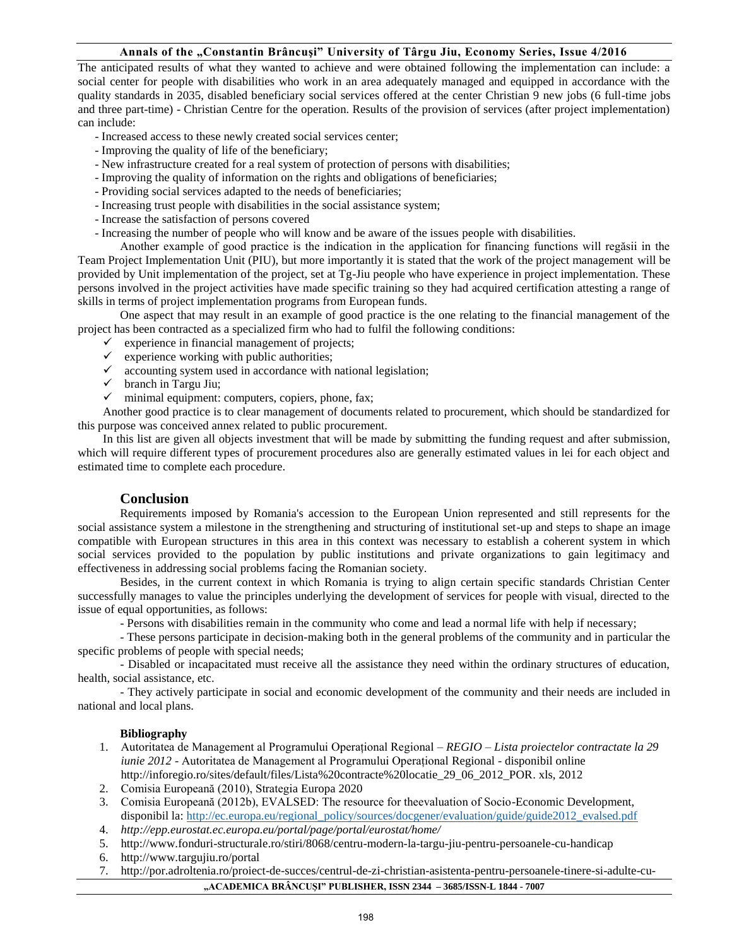## **Annals of the "Constantin Brâncuşi" University of Târgu Jiu, Economy Series, Issue 4/2016**

The anticipated results of what they wanted to achieve and were obtained following the implementation can include: a social center for people with disabilities who work in an area adequately managed and equipped in accordance with the quality standards in 2035, disabled beneficiary social services offered at the center Christian 9 new jobs (6 full-time jobs and three part-time) - Christian Centre for the operation. Results of the provision of services (after project implementation) can include:

- Increased access to these newly created social services center;
- Improving the quality of life of the beneficiary;
- New infrastructure created for a real system of protection of persons with disabilities;
- Improving the quality of information on the rights and obligations of beneficiaries;
- Providing social services adapted to the needs of beneficiaries;
- Increasing trust people with disabilities in the social assistance system;
- Increase the satisfaction of persons covered
- Increasing the number of people who will know and be aware of the issues people with disabilities.

Another example of good practice is the indication in the application for financing functions will regăsii in the Team Project Implementation Unit (PIU), but more importantly it is stated that the work of the project management will be provided by Unit implementation of the project, set at Tg-Jiu people who have experience in project implementation. These persons involved in the project activities have made specific training so they had acquired certification attesting a range of skills in terms of project implementation programs from European funds.

One aspect that may result in an example of good practice is the one relating to the financial management of the project has been contracted as a specialized firm who had to fulfil the following conditions:

- $\checkmark$  experience in financial management of projects;
- $\checkmark$  experience working with public authorities;
- $\checkmark$  accounting system used in accordance with national legislation;
- $\checkmark$  branch in Targu Jiu;
- $\checkmark$  minimal equipment: computers, copiers, phone, fax;

Another good practice is to clear management of documents related to procurement, which should be standardized for this purpose was conceived annex related to public procurement.

In this list are given all objects investment that will be made by submitting the funding request and after submission, which will require different types of procurement procedures also are generally estimated values in lei for each object and estimated time to complete each procedure.

## **Conclusion**

Requirements imposed by Romania's accession to the European Union represented and still represents for the social assistance system a milestone in the strengthening and structuring of institutional set-up and steps to shape an image compatible with European structures in this area in this context was necessary to establish a coherent system in which social services provided to the population by public institutions and private organizations to gain legitimacy and effectiveness in addressing social problems facing the Romanian society.

Besides, in the current context in which Romania is trying to align certain specific standards Christian Center successfully manages to value the principles underlying the development of services for people with visual, directed to the issue of equal opportunities, as follows:

- Persons with disabilities remain in the community who come and lead a normal life with help if necessary;

- These persons participate in decision-making both in the general problems of the community and in particular the specific problems of people with special needs;

- Disabled or incapacitated must receive all the assistance they need within the ordinary structures of education, health, social assistance, etc.

- They actively participate in social and economic development of the community and their needs are included in national and local plans.

## **Bibliography**

- 1. Autoritatea de Management al Programului Operațional Regional *REGIO – Lista proiectelor contractate la 29 iunie 2012* - Autoritatea de Management al Programului Operațional Regional - disponibil online [http://inforegio.ro/sites/default/files/Lista%20contracte%20locatie\\_29\\_06\\_2012\\_POR.](http://inforegio.ro/sites/default/files/Lista%20contracte%20locatie_29_06_2012_POR) xls, 2012
- 2. Comisia Europeană (2010), Strategia Europa 2020
- 3. Comisia Europeană (2012b), EVALSED: The resource for theevaluation of Socio-Economic Development, disponibil la: [http://ec.europa.eu/regional\\_policy/sources/docgener/evaluation/guide/guide2012\\_evalsed.pdf](http://ec.europa.eu/regional_policy/sources/docgener/evaluation/guide/guide2012_evalsed.pdf)
- 4. *http://epp.eurostat.ec.europa.eu/portal/page/portal/eurostat/home/*
- 5. <http://www.fonduri-structurale.ro/stiri/8068/centru-modern-la-targu-jiu-pentru-persoanele-cu-handicap>
- 6. <http://www.targujiu.ro/portal>
- **"ACADEMICA BRÂNCUŞI" PUBLISHER, ISSN 2344 – 3685/ISSN-L 1844 - 7007** 7. [http://por.adroltenia.ro/proiect-de-succes/centrul-de-zi-christian-asistenta-pentru-persoanele-tinere-si-adulte-cu-](http://por.adroltenia.ro/proiect-de-succes/centrul-de-zi-christian-asistenta-pentru-persoanele-tinere-si-adulte-cu-handicap/)